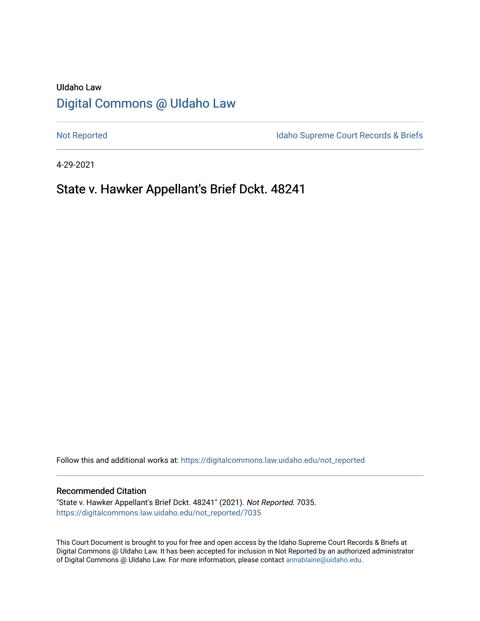# UIdaho Law [Digital Commons @ UIdaho Law](https://digitalcommons.law.uidaho.edu/)

[Not Reported](https://digitalcommons.law.uidaho.edu/not_reported) **Idaho Supreme Court Records & Briefs** 

4-29-2021

# State v. Hawker Appellant's Brief Dckt. 48241

Follow this and additional works at: [https://digitalcommons.law.uidaho.edu/not\\_reported](https://digitalcommons.law.uidaho.edu/not_reported?utm_source=digitalcommons.law.uidaho.edu%2Fnot_reported%2F7035&utm_medium=PDF&utm_campaign=PDFCoverPages) 

#### Recommended Citation

"State v. Hawker Appellant's Brief Dckt. 48241" (2021). Not Reported. 7035. [https://digitalcommons.law.uidaho.edu/not\\_reported/7035](https://digitalcommons.law.uidaho.edu/not_reported/7035?utm_source=digitalcommons.law.uidaho.edu%2Fnot_reported%2F7035&utm_medium=PDF&utm_campaign=PDFCoverPages)

This Court Document is brought to you for free and open access by the Idaho Supreme Court Records & Briefs at Digital Commons @ UIdaho Law. It has been accepted for inclusion in Not Reported by an authorized administrator of Digital Commons @ UIdaho Law. For more information, please contact [annablaine@uidaho.edu](mailto:annablaine@uidaho.edu).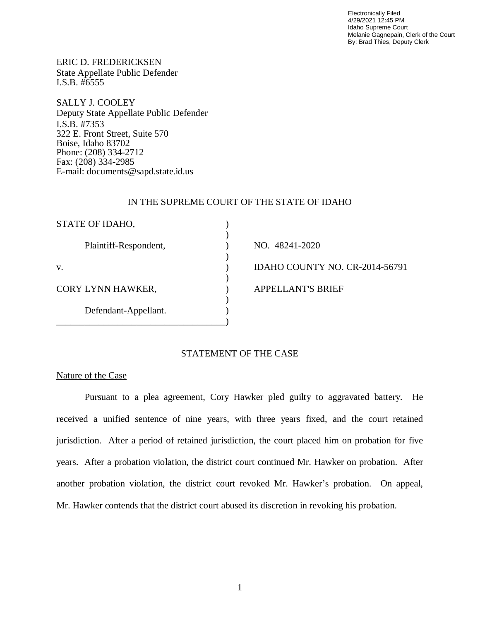Electronically Filed 4/29/2021 12:45 PM Idaho Supreme Court Melanie Gagnepain, Clerk of the Court By: Brad Thies, Deputy Clerk

ERIC D. FREDERICKSEN State Appellate Public Defender I.S.B. #6555

SALLY J. COOLEY Deputy State Appellate Public Defender I.S.B. #7353 322 E. Front Street, Suite 570 Boise, Idaho 83702 Phone: (208) 334-2712 Fax: (208) 334-2985 E-mail: documents@sapd.state.id.us

#### IN THE SUPREME COURT OF THE STATE OF IDAHO

| STATE OF IDAHO,       |                                |
|-----------------------|--------------------------------|
| Plaintiff-Respondent, | NO. 48241-2020                 |
| V.                    | IDAHO COUNTY NO. CR-2014-56791 |
| CORY LYNN HAWKER,     | <b>APPELLANT'S BRIEF</b>       |
| Defendant-Appellant.  |                                |
|                       |                                |

## STATEMENT OF THE CASE

## Nature of the Case

Pursuant to a plea agreement, Cory Hawker pled guilty to aggravated battery. He received a unified sentence of nine years, with three years fixed, and the court retained jurisdiction. After a period of retained jurisdiction, the court placed him on probation for five years. After a probation violation, the district court continued Mr. Hawker on probation. After another probation violation, the district court revoked Mr. Hawker's probation. On appeal, Mr. Hawker contends that the district court abused its discretion in revoking his probation.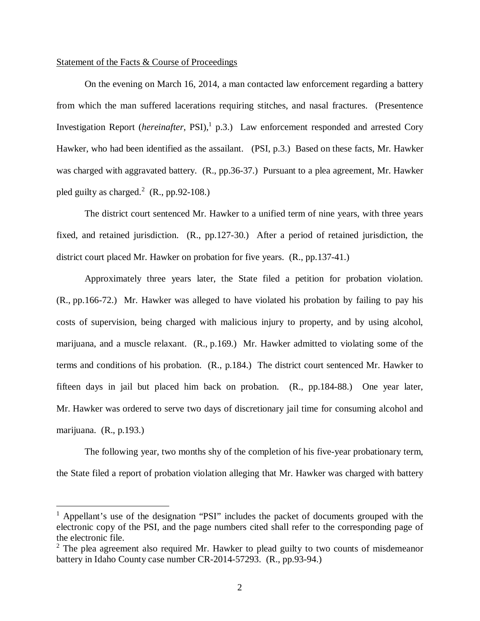## Statement of the Facts & Course of Proceedings

On the evening on March 16, 2014, a man contacted law enforcement regarding a battery from which the man suffered lacerations requiring stitches, and nasal fractures. (Presentence Investigation Report (*hereinafter*, PSI),<sup>[1](#page-2-0)</sup> p.3.) Law enforcement responded and arrested Cory Hawker, who had been identified as the assailant. (PSI, p.3.) Based on these facts, Mr. Hawker was charged with aggravated battery. (R., pp.36-37.) Pursuant to a plea agreement, Mr. Hawker pled guilty as charged.<sup>[2](#page-2-1)</sup> (R., pp.92-108.)

The district court sentenced Mr. Hawker to a unified term of nine years, with three years fixed, and retained jurisdiction. (R., pp.127-30.) After a period of retained jurisdiction, the district court placed Mr. Hawker on probation for five years. (R., pp.137-41.)

Approximately three years later, the State filed a petition for probation violation. (R., pp.166-72.) Mr. Hawker was alleged to have violated his probation by failing to pay his costs of supervision, being charged with malicious injury to property, and by using alcohol, marijuana, and a muscle relaxant. (R., p.169.) Mr. Hawker admitted to violating some of the terms and conditions of his probation. (R., p.184.) The district court sentenced Mr. Hawker to fifteen days in jail but placed him back on probation. (R., pp.184-88.) One year later, Mr. Hawker was ordered to serve two days of discretionary jail time for consuming alcohol and marijuana. (R., p.193.)

The following year, two months shy of the completion of his five-year probationary term, the State filed a report of probation violation alleging that Mr. Hawker was charged with battery

<span id="page-2-0"></span><sup>&</sup>lt;sup>1</sup> Appellant's use of the designation "PSI" includes the packet of documents grouped with the electronic copy of the PSI, and the page numbers cited shall refer to the corresponding page of the electronic file.

<span id="page-2-1"></span> $2$  The plea agreement also required Mr. Hawker to plead guilty to two counts of misdemeanor battery in Idaho County case number CR-2014-57293. (R., pp.93-94.)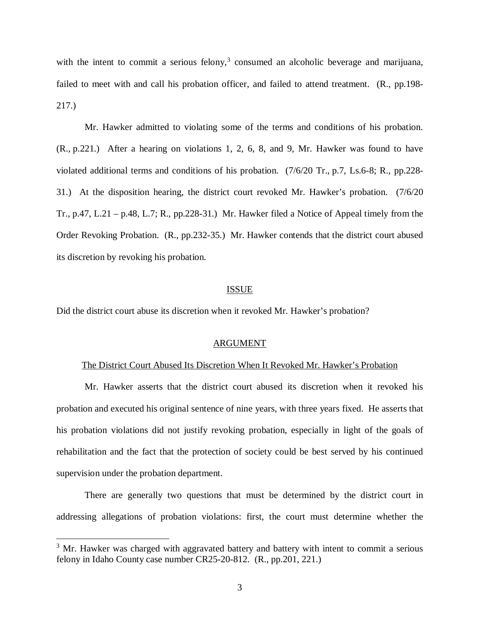with the intent to commit a serious felony, $3$  consumed an alcoholic beverage and marijuana, failed to meet with and call his probation officer, and failed to attend treatment. (R., pp.198- 217.)

Mr. Hawker admitted to violating some of the terms and conditions of his probation. (R., p.221.) After a hearing on violations 1, 2, 6, 8, and 9, Mr. Hawker was found to have violated additional terms and conditions of his probation. (7/6/20 Tr., p.7, Ls.6-8; R., pp.228- 31.) At the disposition hearing, the district court revoked Mr. Hawker's probation. (7/6/20 Tr., p.47, L.21 – p.48, L.7; R., pp.228-31.) Mr. Hawker filed a Notice of Appeal timely from the Order Revoking Probation. (R., pp.232-35.) Mr. Hawker contends that the district court abused its discretion by revoking his probation.

#### ISSUE

Did the district court abuse its discretion when it revoked Mr. Hawker's probation?

#### ARGUMENT

#### The District Court Abused Its Discretion When It Revoked Mr. Hawker's Probation

Mr. Hawker asserts that the district court abused its discretion when it revoked his probation and executed his original sentence of nine years, with three years fixed. He asserts that his probation violations did not justify revoking probation, especially in light of the goals of rehabilitation and the fact that the protection of society could be best served by his continued supervision under the probation department.

There are generally two questions that must be determined by the district court in addressing allegations of probation violations: first, the court must determine whether the

<span id="page-3-0"></span> $3$  Mr. Hawker was charged with aggravated battery and battery with intent to commit a serious felony in Idaho County case number CR25-20-812. (R., pp.201, 221.)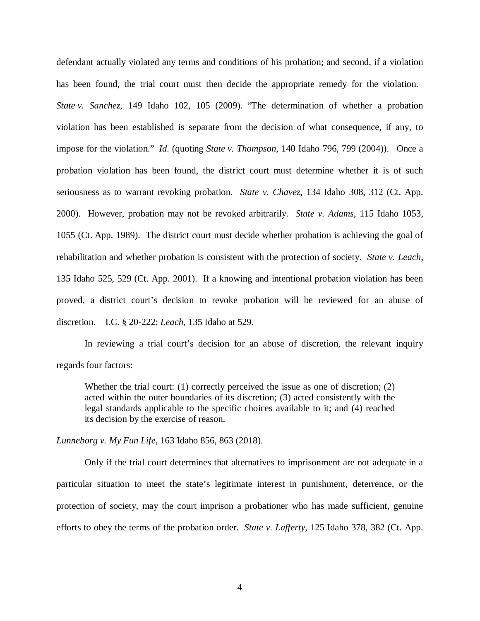defendant actually violated any terms and conditions of his probation; and second, if a violation has been found, the trial court must then decide the appropriate remedy for the violation. *State v. Sanchez*, 149 Idaho 102, 105 (2009). "The determination of whether a probation violation has been established is separate from the decision of what consequence, if any, to impose for the violation." *Id*. (quoting *State v. Thompson*, 140 Idaho 796, 799 (2004)). Once a probation violation has been found, the district court must determine whether it is of such seriousness as to warrant revoking probation. *State v. Chavez*, 134 Idaho 308, 312 (Ct. App. 2000). However, probation may not be revoked arbitrarily. *State v. Adams*, 115 Idaho 1053, 1055 (Ct. App. 1989). The district court must decide whether probation is achieving the goal of rehabilitation and whether probation is consistent with the protection of society. *State v. Leach,* 135 Idaho 525, 529 (Ct. App. 2001). If a knowing and intentional probation violation has been proved, a district court's decision to revoke probation will be reviewed for an abuse of discretion. I.C. § 20-222; *Leach*, 135 Idaho at 529.

In reviewing a trial court's decision for an abuse of discretion, the relevant inquiry regards four factors:

Whether the trial court: (1) correctly perceived the issue as one of discretion; (2) acted within the outer boundaries of its discretion; (3) acted consistently with the legal standards applicable to the specific choices available to it; and (4) reached its decision by the exercise of reason.

*Lunneborg v. My Fun Life*, 163 Idaho 856, 863 (2018).

Only if the trial court determines that alternatives to imprisonment are not adequate in a particular situation to meet the state's legitimate interest in punishment, deterrence, or the protection of society, may the court imprison a probationer who has made sufficient, genuine efforts to obey the terms of the probation order. *State v. Lafferty*, 125 Idaho 378, 382 (Ct. App.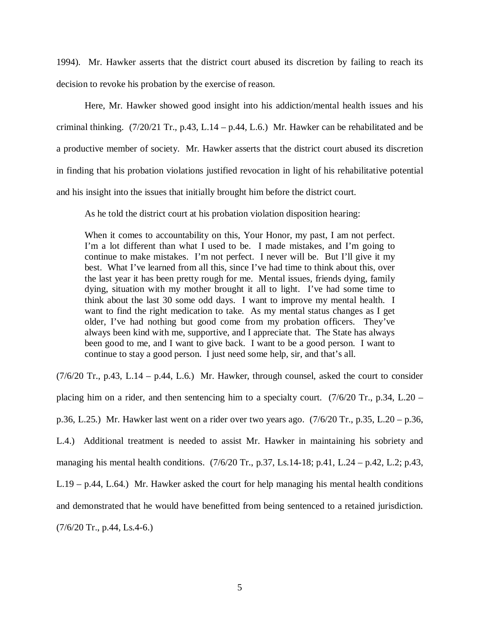1994)*.* Mr. Hawker asserts that the district court abused its discretion by failing to reach its decision to revoke his probation by the exercise of reason.

Here, Mr. Hawker showed good insight into his addiction/mental health issues and his criminal thinking.  $(7/20/21 \text{ Tr.}, p.43, L.14 - p.44, L.6)$  Mr. Hawker can be rehabilitated and be a productive member of society. Mr. Hawker asserts that the district court abused its discretion in finding that his probation violations justified revocation in light of his rehabilitative potential and his insight into the issues that initially brought him before the district court.

As he told the district court at his probation violation disposition hearing:

When it comes to accountability on this, Your Honor, my past, I am not perfect. I'm a lot different than what I used to be. I made mistakes, and I'm going to continue to make mistakes. I'm not perfect. I never will be. But I'll give it my best. What I've learned from all this, since I've had time to think about this, over the last year it has been pretty rough for me. Mental issues, friends dying, family dying, situation with my mother brought it all to light. I've had some time to think about the last 30 some odd days. I want to improve my mental health. I want to find the right medication to take. As my mental status changes as I get older, I've had nothing but good come from my probation officers. They've always been kind with me, supportive, and I appreciate that. The State has always been good to me, and I want to give back. I want to be a good person. I want to continue to stay a good person. I just need some help, sir, and that's all.

 $(7/6/20$  Tr., p.43, L.14 – p.44, L.6.) Mr. Hawker, through counsel, asked the court to consider placing him on a rider, and then sentencing him to a specialty court.  $(7/6/20 \text{ Tr}$ , p.34, L.20 – p.36, L.25.) Mr. Hawker last went on a rider over two years ago. (7/6/20 Tr., p.35, L.20 – p.36, L.4.) Additional treatment is needed to assist Mr. Hawker in maintaining his sobriety and managing his mental health conditions. (7/6/20 Tr., p.37, Ls.14-18; p.41, L.24 – p.42, L.2; p.43, L.19 – p.44, L.64.) Mr. Hawker asked the court for help managing his mental health conditions and demonstrated that he would have benefitted from being sentenced to a retained jurisdiction. (7/6/20 Tr., p.44, Ls.4-6.)